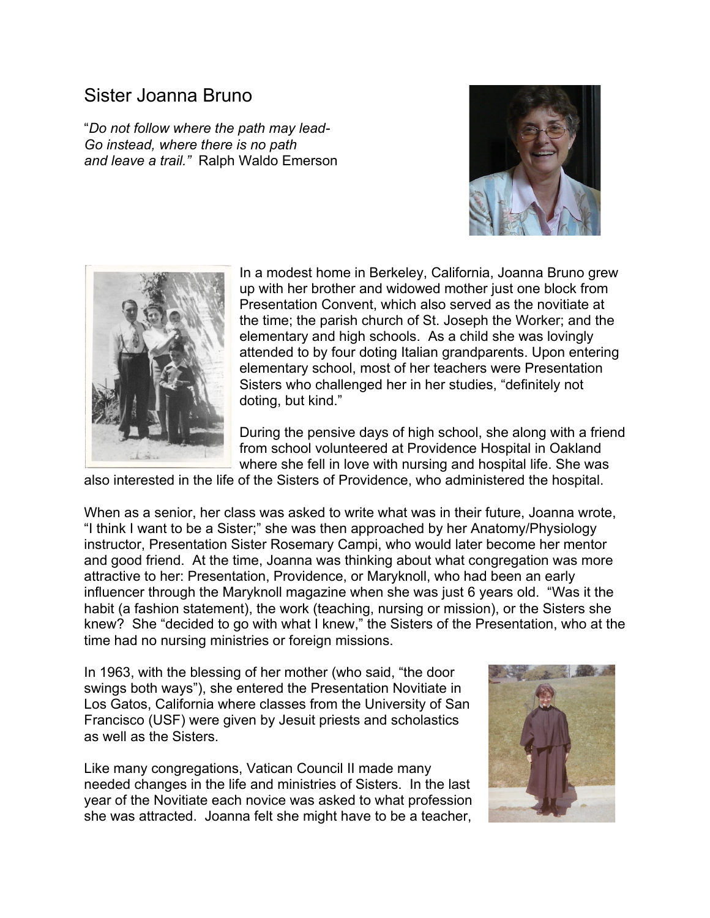## Sister Joanna Bruno

"*Do not follow where the path may lead-Go instead, where there is no path and leave a trail."* Ralph Waldo Emerson





In a modest home in Berkeley, California, Joanna Bruno grew up with her brother and widowed mother just one block from Presentation Convent, which also served as the novitiate at the time; the parish church of St. Joseph the Worker; and the elementary and high schools. As a child she was lovingly attended to by four doting Italian grandparents. Upon entering elementary school, most of her teachers were Presentation Sisters who challenged her in her studies, "definitely not doting, but kind."

During the pensive days of high school, she along with a friend from school volunteered at Providence Hospital in Oakland where she fell in love with nursing and hospital life. She was

also interested in the life of the Sisters of Providence, who administered the hospital.

When as a senior, her class was asked to write what was in their future, Joanna wrote, "I think I want to be a Sister;" she was then approached by her Anatomy/Physiology instructor, Presentation Sister Rosemary Campi, who would later become her mentor and good friend. At the time, Joanna was thinking about what congregation was more attractive to her: Presentation, Providence, or Maryknoll, who had been an early influencer through the Maryknoll magazine when she was just 6 years old. "Was it the habit (a fashion statement), the work (teaching, nursing or mission), or the Sisters she knew? She "decided to go with what I knew," the Sisters of the Presentation, who at the time had no nursing ministries or foreign missions.

In 1963, with the blessing of her mother (who said, "the door swings both ways"), she entered the Presentation Novitiate in Los Gatos, California where classes from the University of San Francisco (USF) were given by Jesuit priests and scholastics as well as the Sisters.

Like many congregations, Vatican Council II made many needed changes in the life and ministries of Sisters. In the last year of the Novitiate each novice was asked to what profession she was attracted. Joanna felt she might have to be a teacher,

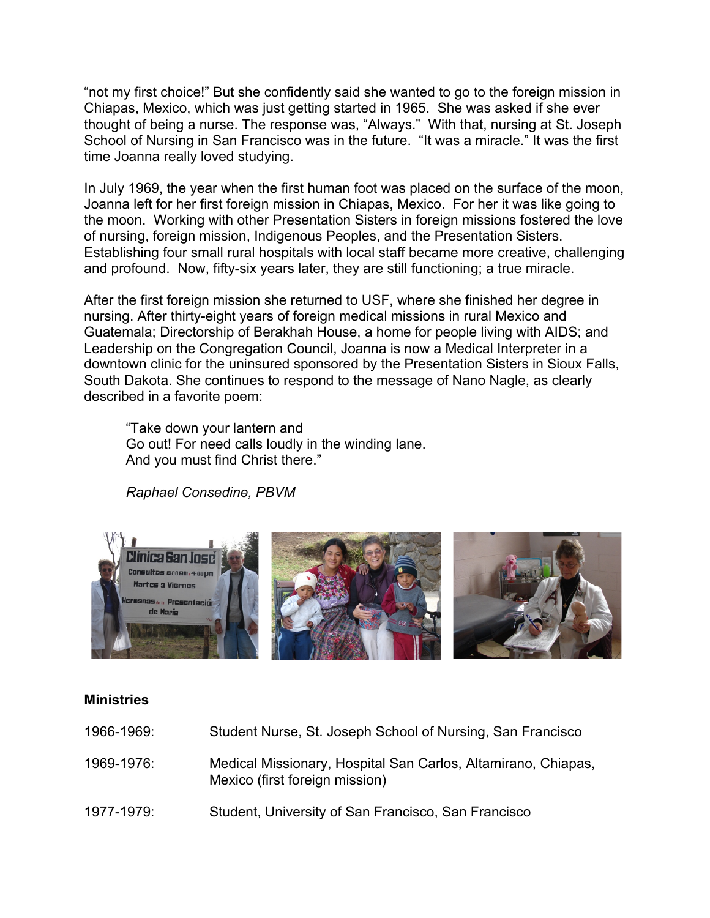"not my first choice!" But she confidently said she wanted to go to the foreign mission in Chiapas, Mexico, which was just getting started in 1965. She was asked if she ever thought of being a nurse. The response was, "Always." With that, nursing at St. Joseph School of Nursing in San Francisco was in the future. "It was a miracle." It was the first time Joanna really loved studying.

In July 1969, the year when the first human foot was placed on the surface of the moon, Joanna left for her first foreign mission in Chiapas, Mexico. For her it was like going to the moon. Working with other Presentation Sisters in foreign missions fostered the love of nursing, foreign mission, Indigenous Peoples, and the Presentation Sisters. Establishing four small rural hospitals with local staff became more creative, challenging and profound. Now, fifty-six years later, they are still functioning; a true miracle.

After the first foreign mission she returned to USF, where she finished her degree in nursing. After thirty-eight years of foreign medical missions in rural Mexico and Guatemala; Directorship of Berakhah House, a home for people living with AIDS; and Leadership on the Congregation Council, Joanna is now a Medical Interpreter in a downtown clinic for the uninsured sponsored by the Presentation Sisters in Sioux Falls, South Dakota. She continues to respond to the message of Nano Nagle, as clearly described in a favorite poem:

"Take down your lantern and Go out! For need calls loudly in the winding lane. And you must find Christ there."

*Raphael Consedine, PBVM*



## **Ministries**

| 1966-1969: | Student Nurse, St. Joseph School of Nursing, San Francisco                                      |
|------------|-------------------------------------------------------------------------------------------------|
| 1969-1976: | Medical Missionary, Hospital San Carlos, Altamirano, Chiapas,<br>Mexico (first foreign mission) |
| 1977-1979: | Student, University of San Francisco, San Francisco                                             |